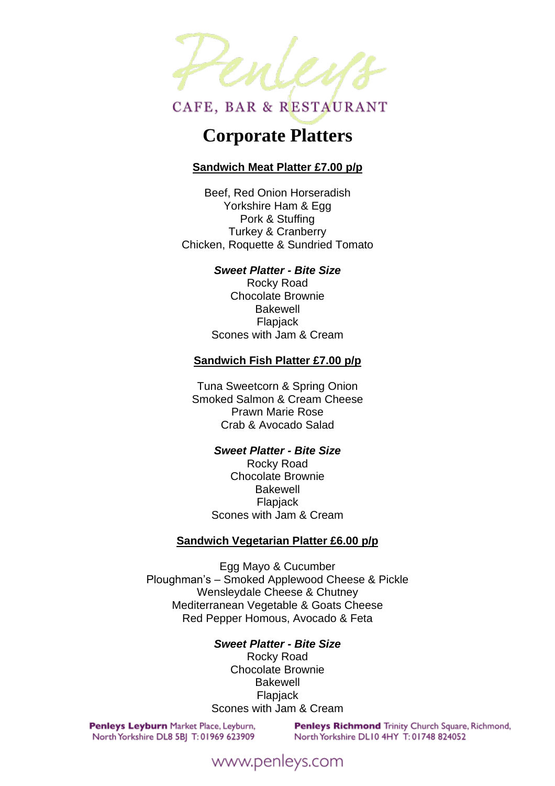

# **Corporate Platters**

# **Sandwich Meat Platter £7.00 p/p**

Beef, Red Onion Horseradish Yorkshire Ham & Egg Pork & Stuffing Turkey & Cranberry Chicken, Roquette & Sundried Tomato

#### *Sweet Platter - Bite Size*

Rocky Road Chocolate Brownie Bakewell **Flapjack** Scones with Jam & Cream

#### **Sandwich Fish Platter £7.00 p/p**

Tuna Sweetcorn & Spring Onion Smoked Salmon & Cream Cheese Prawn Marie Rose Crab & Avocado Salad

#### *Sweet Platter - Bite Size*

Rocky Road Chocolate Brownie Bakewell Flapjack Scones with Jam & Cream

#### **Sandwich Vegetarian Platter £6.00 p/p**

Egg Mayo & Cucumber Ploughman's – Smoked Applewood Cheese & Pickle Wensleydale Cheese & Chutney Mediterranean Vegetable & Goats Cheese Red Pepper Homous, Avocado & Feta

#### *Sweet Platter - Bite Size*

Rocky Road Chocolate Brownie Bakewell Flapjack Scones with Jam & Cream

Penleys Leyburn Market Place, Leyburn, North Yorkshire DL8 5BJ T: 01969 623909

Penleys Richmond Trinity Church Square, Richmond, North Yorkshire DL10 4HY T: 01748 824052

# www.penleys.com